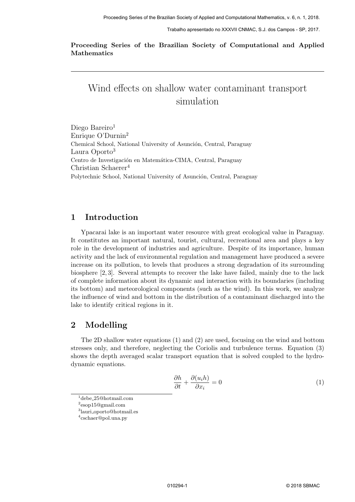Trabalho apresentado no XXXVII CNMAC, S.J. dos Campos - SP, 2017.

Proceeding Series of the Brazilian Society of Computational and Applied Mathematics

# Wind effects on shallow water contaminant transport simulation

Diego Bareiro<sup>1</sup> Enrique O'Durnin<sup>2</sup> Chemical School, National University of Asunción, Central, Paraguay Laura Oporto<sup>3</sup> Centro de Investigación en Matemática-CIMA, Central, Paraguay Christian Schaerer<sup>4</sup> Polytechnic School, National University of Asunción, Central, Paraguay

## 1 Introduction

Ypacarai lake is an important water resource with great ecological value in Paraguay. It constitutes an important natural, tourist, cultural, recreational area and plays a key role in the development of industries and agriculture. Despite of its importance, human activity and the lack of environmental regulation and management have produced a severe increase on its pollution, to levels that produces a strong degradation of its surrounding biosphere [2, 3]. Several attempts to recover the lake have failed, mainly due to the lack of complete information about its dynamic and interaction with its boundaries (including its bottom) and meteorological components (such as the wind). In this work, we analyze the influence of wind and bottom in the distribution of a contaminant discharged into the lake to identify critical regions in it.

## 2 Modelling

The 2D shallow water equations (1) and (2) are used, focusing on the wind and bottom stresses only, and therefore, neglecting the Coriolis and turbulence terms. Equation (3) shows the depth averaged scalar transport equation that is solved coupled to the hydrodynamic equations.

$$
\frac{\partial h}{\partial t} + \frac{\partial (u_i h)}{\partial x_i} = 0 \tag{1}
$$

 $^{1}$ debe\_ $25@$ hotmail.com

3 lauri oporto@hotmail.es

<sup>2</sup> esop15@gmail.com

<sup>4</sup> cschaer@pol.una.py